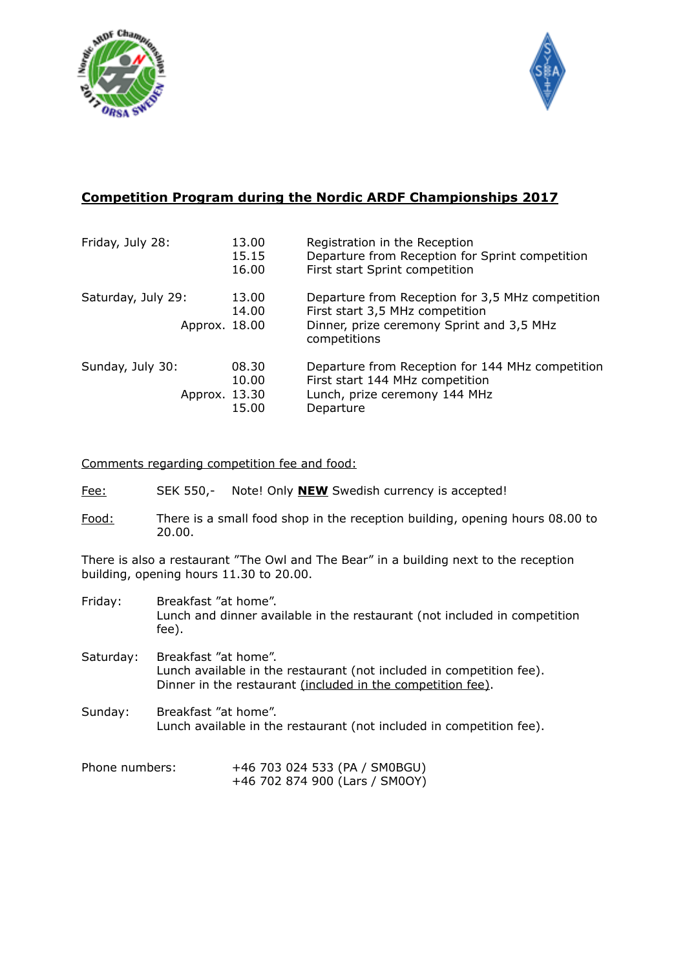



## **Competition Program during the Nordic ARDF Championships 2017**

| Friday, July 28:                    | 13.00<br>15.15<br>16.00 | Registration in the Reception<br>Departure from Reception for Sprint competition<br>First start Sprint competition                               |
|-------------------------------------|-------------------------|--------------------------------------------------------------------------------------------------------------------------------------------------|
| Saturday, July 29:<br>Approx. 18.00 | 13.00<br>14.00          | Departure from Reception for 3,5 MHz competition<br>First start 3,5 MHz competition<br>Dinner, prize ceremony Sprint and 3,5 MHz<br>competitions |
| Sunday, July 30:<br>Approx. 13.30   | 08.30<br>10.00<br>15.00 | Departure from Reception for 144 MHz competition<br>First start 144 MHz competition<br>Lunch, prize ceremony 144 MHz<br>Departure                |

Comments regarding competition fee and food:

- Fee: SEK 550,- Note! Only **NEW** Swedish currency is accepted!
- Food: There is a small food shop in the reception building, opening hours 08.00 to 20.00.

There is also a restaurant "The Owl and The Bear" in a building next to the reception building, opening hours 11.30 to 20.00.

- Friday: Breakfast "at home". Lunch and dinner available in the restaurant (not included in competition fee).
- Saturday: Breakfast "at home". Lunch available in the restaurant (not included in competition fee). Dinner in the restaurant (included in the competition fee).
- Sunday: Breakfast "at home". Lunch available in the restaurant (not included in competition fee).

| Phone numbers: | +46 703 024 533 (PA / SM0BGU)  |
|----------------|--------------------------------|
|                | +46 702 874 900 (Lars / SM0OY) |